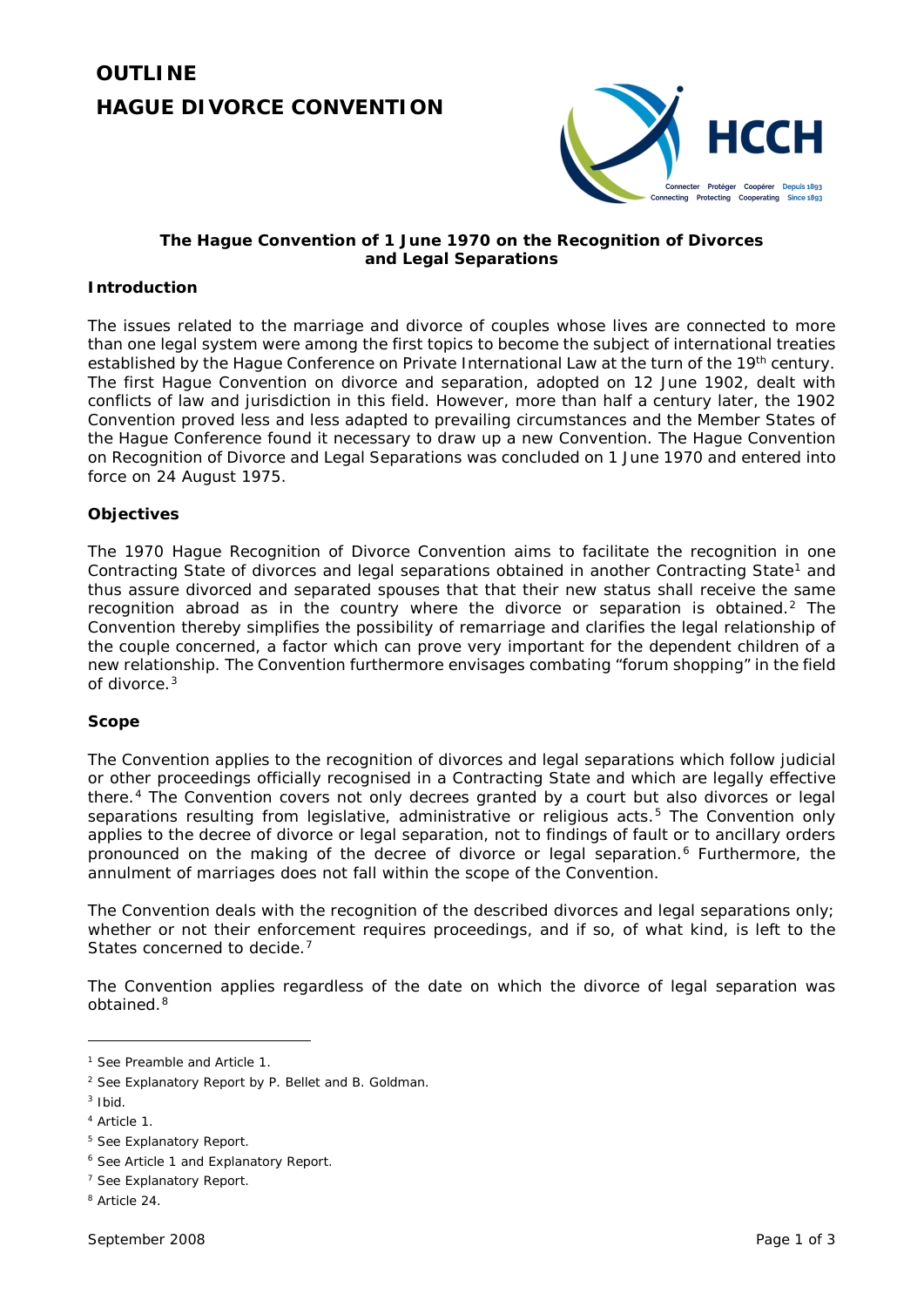# **OUTLINE**  *HAGUE DIVORCE CONVENTION*



# **The** *Hague Convention of 1 June 1970 on the Recognition of Divorces and Legal Separations*

# **Introduction**

The issues related to the marriage and divorce of couples whose lives are connected to more than one legal system were among the first topics to become the subject of international treaties established by the Hague Conference on Private International Law at the turn of the 19<sup>th</sup> century. The first Hague Convention on divorce and separation, adopted on 12 June 1902, dealt with conflicts of law and jurisdiction in this field. However, more than half a century later, the 1902 Convention proved less and less adapted to prevailing circumstances and the Member States of the Hague Conference found it necessary to draw up a new Convention. The *Hague Convention on Recognition of Divorce and Legal Separations* was concluded on 1 June 1970 and entered into force on 24 August 1975.

# **Objectives**

The *1970 Hague Recognition of Divorce Convention* aims to facilitate the recognition in one Contracting State of divorces and legal separations obtained in another Contracting State<sup>[1](#page-0-0)</sup> and thus assure divorced and separated spouses that that their new status shall receive the same recognition abroad as in the country where the divorce or separation is obtained.[2](#page-0-1) The Convention thereby simplifies the possibility of remarriage and clarifies the legal relationship of the couple concerned, a factor which can prove very important for the dependent children of a new relationship. The Convention furthermore envisages combating "forum shopping" in the field of divorce.<sup>[3](#page-0-2)</sup>

# **Scope**

The Convention applies to the recognition of divorces and legal separations which follow judicial or other proceedings officially recognised in a Contracting State and which are legally effective there.[4](#page-0-3) The Convention covers not only decrees granted by a court but also divorces or legal separations resulting from legislative, administrative or religious acts.<sup>[5](#page-0-4)</sup> The Convention only applies to the decree of divorce or legal separation, not to findings of fault or to ancillary orders pronounced on the making of the decree of divorce or legal separation.[6](#page-0-5) Furthermore, the annulment of marriages does not fall within the scope of the Convention.

The Convention deals with the recognition of the described divorces and legal separations only: whether or not their enforcement requires proceedings, and if so, of what kind, is left to the States concerned to decide.<sup>[7](#page-0-6)</sup>

The Convention applies regardless of the date on which the divorce of legal separation was obtained.<sup>[8](#page-0-7)</sup>

<span id="page-0-0"></span><sup>1</sup> See Preamble and Article 1.

<span id="page-0-1"></span><sup>2</sup> See Explanatory Report by P. Bellet and B. Goldman.

<span id="page-0-2"></span><sup>3</sup> *Ibid*.

<span id="page-0-3"></span><sup>4</sup> Article 1.

<span id="page-0-4"></span><sup>5</sup> See Explanatory Report.

<span id="page-0-5"></span><sup>6</sup> See Article 1 and Explanatory Report.

<span id="page-0-6"></span><sup>7</sup> See Explanatory Report.

<span id="page-0-7"></span><sup>8</sup> Article 24.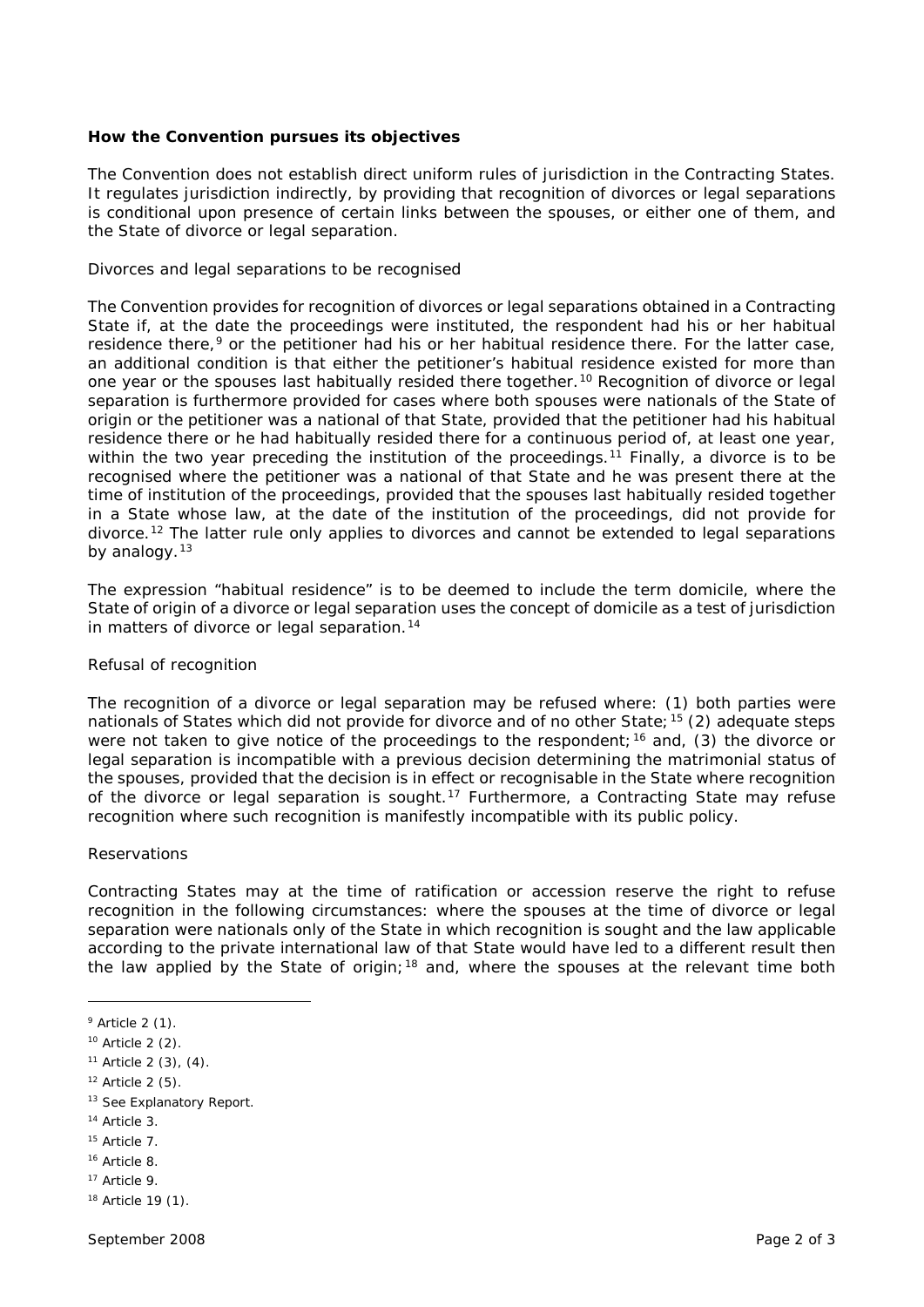#### **How the Convention pursues its objectives**

The Convention does not establish direct uniform rules of jurisdiction in the Contracting States. It regulates jurisdiction indirectly, by providing that recognition of divorces or legal separations is conditional upon presence of certain links between the spouses, or either one of them, and the State of divorce or legal separation.

#### *Divorces and legal separations to be recognised*

The Convention provides for recognition of divorces or legal separations obtained in a Contracting State if, at the date the proceedings were instituted, the respondent had his or her habitual residence there,<sup>[9](#page-1-0)</sup> or the petitioner had his or her habitual residence there. For the latter case, an additional condition is that either the petitioner's habitual residence existed for more than one year or the spouses last habitually resided there together.[10](#page-1-1) Recognition of divorce or legal separation is furthermore provided for cases where both spouses were nationals of the State of origin or the petitioner was a national of that State, provided that the petitioner had his habitual residence there or he had habitually resided there for a continuous period of, at least one year, within the two year preceding the institution of the proceedings.<sup>[11](#page-1-2)</sup> Finally, a divorce is to be recognised where the petitioner was a national of that State and he was present there at the time of institution of the proceedings, provided that the spouses last habitually resided together in a State whose law, at the date of the institution of the proceedings, did not provide for divorce.<sup>[12](#page-1-3)</sup> The latter rule only applies to divorces and cannot be extended to legal separations by analogy.<sup>[13](#page-1-4)</sup>

The expression "habitual residence" is to be deemed to include the term domicile, where the State of origin of a divorce or legal separation uses the concept of domicile as a test of jurisdiction in matters of divorce or legal separation.<sup>[14](#page-1-5)</sup>

#### *Refusal of recognition*

The recognition of a divorce or legal separation may be refused where: (1) both parties were nationals of States which did not provide for divorce and of no other State;<sup>[15](#page-1-6)</sup> (2) adequate steps were not taken to give notice of the proceedings to the respondent;<sup>[16](#page-1-7)</sup> and, (3) the divorce or legal separation is incompatible with a previous decision determining the matrimonial status of the spouses, provided that the decision is in effect or recognisable in the State where recognition of the divorce or legal separation is sought.<sup>[17](#page-1-8)</sup> Furthermore, a Contracting State may refuse recognition where such recognition is manifestly incompatible with its public policy.

# *Reservations*

Contracting States may at the time of ratification or accession reserve the right to refuse recognition in the following circumstances: where the spouses at the time of divorce or legal separation were nationals only of the State in which recognition is sought and the law applicable according to the private international law of that State would have led to a different result then the law applied by the State of origin;<sup>[18](#page-1-9)</sup> and, where the spouses at the relevant time both

<u>.</u>

<span id="page-1-0"></span> $9$  Article 2 (1).

<span id="page-1-1"></span><sup>10</sup> Article 2 (2).

<span id="page-1-2"></span> $11$  Article 2 (3), (4).

<span id="page-1-3"></span> $12$  Article 2 (5).

<span id="page-1-4"></span><sup>&</sup>lt;sup>13</sup> See Explanatory Report.

<span id="page-1-5"></span><sup>14</sup> Article 3.

<span id="page-1-6"></span><sup>15</sup> Article 7.

<span id="page-1-7"></span><sup>16</sup> Article 8.

<span id="page-1-8"></span><sup>17</sup> Article 9.

<span id="page-1-9"></span><sup>18</sup> Article 19 (1).